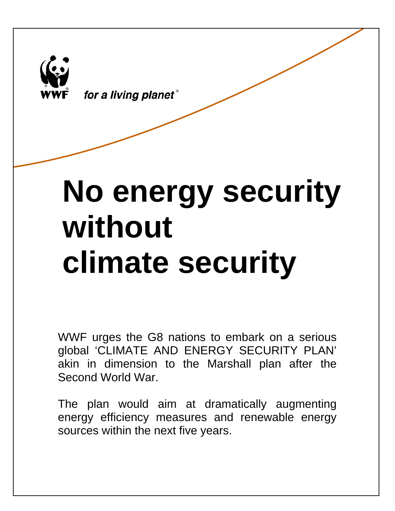

for a living planet®

# **No energy security without climate security**

WWF urges the G8 nations to embark on a serious global 'CLIMATE AND ENERGY SECURITY PLAN' akin in dimension to the Marshall plan after the Second World War.

The plan would aim at dramatically augmenting energy efficiency measures and renewable energy sources within the next five years.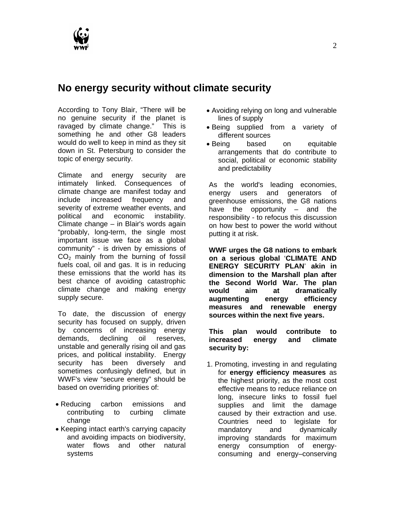

# **No energy security without climate security**

According to Tony Blair, "There will be no genuine security if the planet is ravaged by climate change." This is something he and other G8 leaders would do well to keep in mind as they sit down in St. Petersburg to consider the topic of energy security.

Climate and energy security are intimately linked. Consequences of climate change are manifest today and include increased frequency and severity of extreme weather events, and political and economic instability. Climate change – in Blair's words again "probably, long-term, the single most important issue we face as a global community" - is driven by emissions of  $CO<sub>2</sub>$  mainly from the burning of fossil fuels coal, oil and gas. It is in reducing these emissions that the world has its best chance of avoiding catastrophic climate change and making energy supply secure.

To date, the discussion of energy security has focused on supply, driven by concerns of increasing energy demands, declining oil reserves, unstable and generally rising oil and gas prices, and political instability. Energy security has been diversely and sometimes confusingly defined, but in WWF's view "secure energy" should be based on overriding priorities of:

- Reducing carbon emissions and contributing to curbing climate change
- Keeping intact earth's carrying capacity and avoiding impacts on biodiversity, water flows and other natural systems
- Avoiding relying on long and vulnerable lines of supply
- Being supplied from a variety of different sources
- Being based on equitable arrangements that do contribute to social, political or economic stability and predictability

As the world's leading economies, energy users and generators of greenhouse emissions, the G8 nations have the opportunity – and the responsibility - to refocus this discussion on how best to power the world without putting it at risk.

**WWF urges the G8 nations to embark on a serious global** '**CLIMATE AND ENERGY SECURITY PLAN**' **akin in dimension to the Marshall plan after the Second World War. The plan would aim at dramatically augmenting energy efficiency measures and renewable energy sources within the next five years.** 

**This plan would contribute to increased energy and climate security by:** 

1. Promoting, investing in and regulating for **energy efficiency measures** as the highest priority, as the most cost effective means to reduce reliance on long, insecure links to fossil fuel supplies and limit the damage caused by their extraction and use. Countries need to legislate for mandatory and dynamically improving standards for maximum energy consumption of energyconsuming and energy–conserving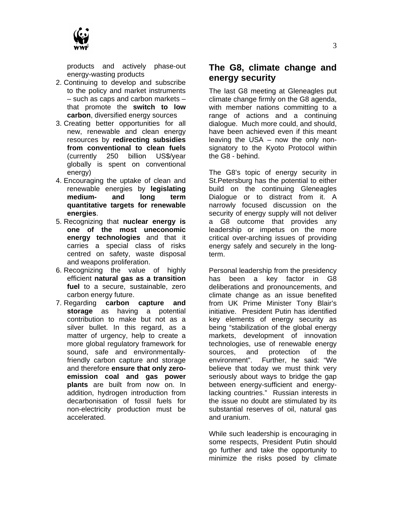

products and actively phase-out energy-wasting products

- 2. Continuing to develop and subscribe to the policy and market instruments – such as caps and carbon markets – that promote the **switch to low carbon**, diversified energy sources
- 3. Creating better opportunities for all new, renewable and clean energy resources by **redirecting subsidies from conventional to clean fuels**  (currently 250 billion US\$/year globally is spent on conventional energy)
- 4. Encouraging the uptake of clean and renewable energies by **legislating medium- and long term quantitative targets for renewable energies**.
- 5. Recognizing that **nuclear energy is one of the most uneconomic energy technologies** and that it carries a special class of risks centred on safety, waste disposal and weapons proliferation.
- 6. Recognizing the value of highly efficient **natural gas as a transition fuel** to a secure, sustainable, zero carbon energy future.
- 7. Regarding **carbon capture and storage** as having a potential contribution to make but not as a silver bullet. In this regard, as a matter of urgency, help to create a more global regulatory framework for sound, safe and environmentallyfriendly carbon capture and storage and therefore **ensure that only zeroemission coal and gas power plants** are built from now on. In addition, hydrogen introduction from decarbonisation of fossil fuels for non-electricity production must be accelerated.

## **The G8, climate change and energy security**

The last G8 meeting at Gleneagles put climate change firmly on the G8 agenda, with member nations committing to a range of actions and a continuing dialogue. Much more could, and should, have been achieved even if this meant leaving the USA – now the only nonsignatory to the Kyoto Protocol within the G8 - behind.

The G8's topic of energy security in St.Petersburg has the potential to either build on the continuing Gleneagles Dialogue or to distract from it. A narrowly focused discussion on the security of energy supply will not deliver a G8 outcome that provides any leadership or impetus on the more critical over-arching issues of providing energy safely and securely in the longterm.

Personal leadership from the presidency has been a key factor in G8 deliberations and pronouncements, and climate change as an issue benefited from UK Prime Minister Tony Blair's initiative. President Putin has identified key elements of energy security as being "stabilization of the global energy markets, development of innovation technologies, use of renewable energy sources, and protection of the environment". Further, he said: "We believe that today we must think very seriously about ways to bridge the gap between energy-sufficient and energylacking countries." Russian interests in the issue no doubt are stimulated by its substantial reserves of oil, natural gas and uranium.

While such leadership is encouraging in some respects, President Putin should go further and take the opportunity to minimize the risks posed by climate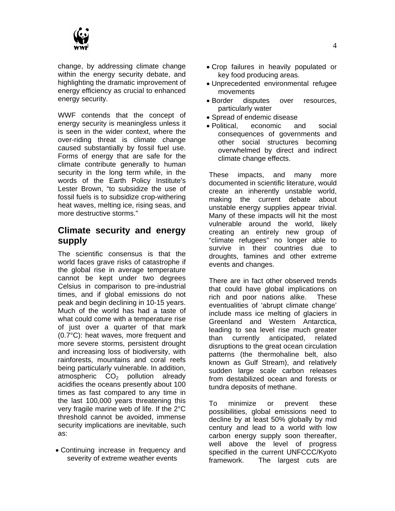

change, by addressing climate change within the energy security debate, and highlighting the dramatic improvement of energy efficiency as crucial to enhanced energy security.

WWF contends that the concept of energy security is meaningless unless it is seen in the wider context, where the over-riding threat is climate change caused substantially by fossil fuel use. Forms of energy that are safe for the climate contribute generally to human security in the long term while, in the words of the Earth Policy Institute's Lester Brown, "to subsidize the use of fossil fuels is to subsidize crop-withering heat waves, melting ice, rising seas, and more destructive storms."

## **Climate security and energy supply**

The scientific consensus is that the world faces grave risks of catastrophe if the global rise in average temperature cannot be kept under two degrees Celsius in comparison to pre-industrial times, and if global emissions do not peak and begin declining in 10-15 years. Much of the world has had a taste of what could come with a temperature rise of just over a quarter of that mark (0.7°C): heat waves, more frequent and more severe storms, persistent drought and increasing loss of biodiversity, with rainforests, mountains and coral reefs being particularly vulnerable. In addition, atmospheric  $CO<sub>2</sub>$  pollution already acidifies the oceans presently about 100 times as fast compared to any time in the last 100,000 years threatening this very fragile marine web of life. If the 2°C threshold cannot be avoided, immense security implications are inevitable, such as:

• Continuing increase in frequency and severity of extreme weather events

- Crop failures in heavily populated or key food producing areas.
- Unprecedented environmental refugee movements
- Border disputes over resources, particularly water
- Spread of endemic disease
- Political, economic and social consequences of governments and other social structures becoming overwhelmed by direct and indirect climate change effects.

These impacts, and many more documented in scientific literature, would create an inherently unstable world, making the current debate about unstable energy supplies appear trivial. Many of these impacts will hit the most vulnerable around the world, likely creating an entirely new group of "climate refugees" no longer able to survive in their countries due to droughts, famines and other extreme events and changes.

There are in fact other observed trends that could have global implications on rich and poor nations alike. These eventualities of 'abrupt climate change' include mass ice melting of glaciers in Greenland and Western Antarctica, leading to sea level rise much greater than currently anticipated, related disruptions to the great ocean circulation patterns (the thermohaline belt, also known as Gulf Stream), and relatively sudden large scale carbon releases from destabilized ocean and forests or tundra deposits of methane.

To minimize or prevent these possibilities, global emissions need to decline by at least 50% globally by mid century and lead to a world with low carbon energy supply soon thereafter, well above the level of progress specified in the current UNFCCC/Kyoto framework. The largest cuts are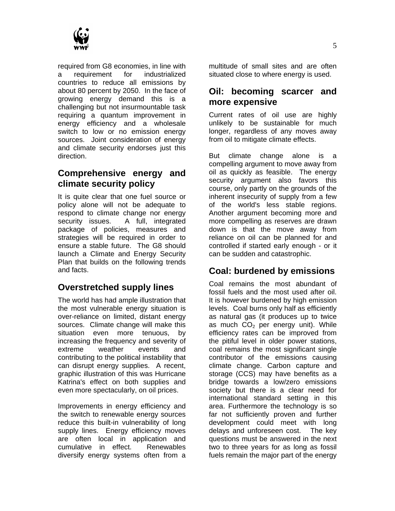

required from G8 economies, in line with a requirement for industrialized countries to reduce all emissions by about 80 percent by 2050. In the face of growing energy demand this is a challenging but not insurmountable task requiring a quantum improvement in energy efficiency and a wholesale switch to low or no emission energy sources. Joint consideration of energy and climate security endorses just this direction.

# **Comprehensive energy and climate security policy**

It is quite clear that one fuel source or policy alone will not be adequate to respond to climate change nor energy security issues. A full, integrated package of policies, measures and strategies will be required in order to ensure a stable future. The G8 should launch a Climate and Energy Security Plan that builds on the following trends and facts.

# **Overstretched supply lines**

The world has had ample illustration that the most vulnerable energy situation is over-reliance on limited, distant energy sources. Climate change will make this situation even more tenuous, by increasing the frequency and severity of extreme weather events and contributing to the political instability that can disrupt energy supplies. A recent, graphic illustration of this was Hurricane Katrina's effect on both supplies and even more spectacularly, on oil prices.

Improvements in energy efficiency and the switch to renewable energy sources reduce this built-in vulnerability of long supply lines. Energy efficiency moves are often local in application and cumulative in effect. Renewables diversify energy systems often from a

multitude of small sites and are often situated close to where energy is used.

#### **Oil: becoming scarcer and more expensive**

Current rates of oil use are highly unlikely to be sustainable for much longer, regardless of any moves away from oil to mitigate climate effects.

But climate change alone is a compelling argument to move away from oil as quickly as feasible. The energy security argument also favors this course, only partly on the grounds of the inherent insecurity of supply from a few of the world's less stable regions. Another argument becoming more and more compelling as reserves are drawn down is that the move away from reliance on oil can be planned for and controlled if started early enough - or it can be sudden and catastrophic.

# **Coal: burdened by emissions**

Coal remains the most abundant of fossil fuels and the most used after oil. It is however burdened by high emission levels. Coal burns only half as efficiently as natural gas (it produces up to twice as much  $CO<sub>2</sub>$  per energy unit). While efficiency rates can be improved from the pitiful level in older power stations, coal remains the most significant single contributor of the emissions causing climate change. Carbon capture and storage (CCS) may have benefits as a bridge towards a low/zero emissions society but there is a clear need for international standard setting in this area. Furthermore the technology is so far not sufficiently proven and further development could meet with long delays and unforeseen cost. The key questions must be answered in the next two to three years for as long as fossil fuels remain the major part of the energy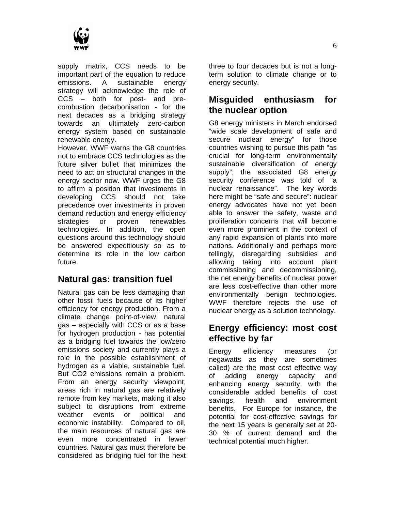

supply matrix, CCS needs to be important part of the equation to reduce emissions. A sustainable energy strategy will acknowledge the role of CCS – both for post- and precombustion decarbonisation - for the next decades as a bridging strategy towards an ultimately zero-carbon energy system based on sustainable renewable energy.

However, WWF warns the G8 countries not to embrace CCS technologies as the future silver bullet that minimizes the need to act on structural changes in the energy sector now. WWF urges the G8 to affirm a position that investments in developing CCS should not take precedence over investments in proven demand reduction and energy efficiency strategies or proven renewables technologies. In addition, the open questions around this technology should be answered expeditiously so as to determine its role in the low carbon future.

# **Natural gas: transition fuel**

Natural gas can be less damaging than other fossil fuels because of its higher efficiency for energy production. From a climate change point-of-view, natural gas – especially with CCS or as a base for hydrogen production - has potential as a bridging fuel towards the low/zero emissions society and currently plays a role in the possible establishment of hydrogen as a viable, sustainable fuel. But CO2 emissions remain a problem. From an energy security viewpoint, areas rich in natural gas are relatively remote from key markets, making it also subject to disruptions from extreme weather events or political and economic instability. Compared to oil, the main resources of natural gas are even more concentrated in fewer countries. Natural gas must therefore be considered as bridging fuel for the next

three to four decades but is not a longterm solution to climate change or to energy security.

# **Misguided enthusiasm for the nuclear option**

G8 energy ministers in March endorsed "wide scale development of safe and secure nuclear energy" for those countries wishing to pursue this path "as crucial for long-term environmentally sustainable diversification of energy supply"; the associated G8 energy security conference was told of "a nuclear renaissance". The key words here might be "safe and secure": nuclear energy advocates have not yet been able to answer the safety, waste and proliferation concerns that will become even more prominent in the context of any rapid expansion of plants into more nations. Additionally and perhaps more tellingly, disregarding subsidies and allowing taking into account plant commissioning and decommissioning, the net energy benefits of nuclear power are less cost-effective than other more environmentally benign technologies. WWF therefore rejects the use of nuclear energy as a solution technology.

#### **Energy efficiency: most cost effective by far**

Energy efficiency measures (or negawatts as they are sometimes called) are the most cost effective way of adding energy capacity and enhancing energy security, with the considerable added benefits of cost savings, health and environment benefits. For Europe for instance, the potential for cost-effective savings for the next 15 years is generally set at 20- 30 % of current demand and the technical potential much higher.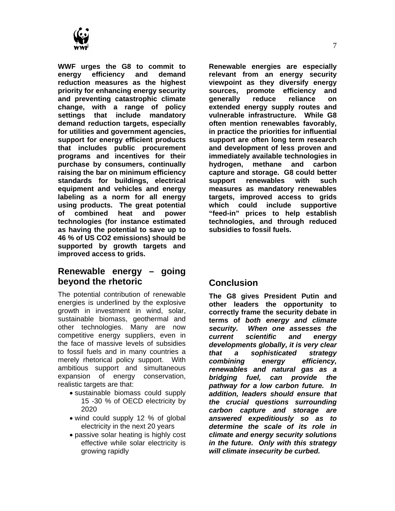

**WWF urges the G8 to commit to energy efficiency and demand reduction measures as the highest priority for enhancing energy security and preventing catastrophic climate change, with a range of policy settings that include mandatory demand reduction targets, especially for utilities and government agencies, support for energy efficient products that includes public procurement programs and incentives for their purchase by consumers, continually raising the bar on minimum efficiency standards for buildings, electrical equipment and vehicles and energy labeling as a norm for all energy using products. The great potential of combined heat and power technologies (for instance estimated as having the potential to save up to 46 % of US CO2 emissions) should be supported by growth targets and improved access to grids.** 

#### **Renewable energy – going beyond the rhetoric**

The potential contribution of renewable energies is underlined by the explosive growth in investment in wind, solar, sustainable biomass, geothermal and other technologies. Many are now competitive energy suppliers, even in the face of massive levels of subsidies to fossil fuels and in many countries a merely rhetorical policy support. With ambitious support and simultaneous expansion of energy conservation, realistic targets are that:

- sustainable biomass could supply 15 -30 % of OECD electricity by 2020
- wind could supply 12 % of global electricity in the next 20 years
- passive solar heating is highly cost effective while solar electricity is growing rapidly

**Renewable energies are especially relevant from an energy security viewpoint as they diversify energy sources, promote efficiency and generally reduce reliance on extended energy supply routes and vulnerable infrastructure. While G8 often mention renewables favorably, in practice the priorities for influential support are often long term research and development of less proven and immediately available technologies in hydrogen, methane and carbon capture and storage. G8 could better support renewables with such measures as mandatory renewables targets, improved access to grids which could include supportive "feed-in" prices to help establish technologies, and through reduced subsidies to fossil fuels.** 

#### **Conclusion**

**The G8 gives President Putin and other leaders the opportunity to correctly frame the security debate in terms of** *both energy and climate security. When one assesses the current scientific and energy developments globally, it is very clear that a sophisticated strategy combining energy efficiency, renewables and natural gas as a bridging fuel, can provide the pathway for a low carbon future. In addition, leaders should ensure that the crucial questions surrounding carbon capture and storage are answered expeditiously so as to determine the scale of its role in climate and energy security solutions in the future. Only with this strategy will climate insecurity be curbed.*